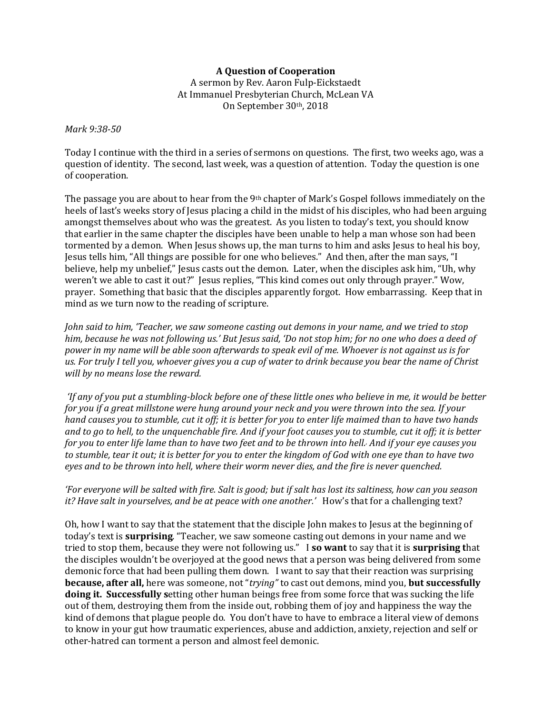## **A Question of Cooperation**

A sermon by Rev. Aaron Fulp-Eickstaedt At Immanuel Presbyterian Church, McLean VA On September 30th, 2018

## *Mark 9:38-50*

Today I continue with the third in a series of sermons on questions. The first, two weeks ago, was a question of identity. The second, last week, was a question of attention. Today the question is one of cooperation.

The passage you are about to hear from the 9th chapter of Mark's Gospel follows immediately on the heels of last's weeks story of Jesus placing a child in the midst of his disciples, who had been arguing amongst themselves about who was the greatest. As you listen to today's text, you should know that earlier in the same chapter the disciples have been unable to help a man whose son had been tormented by a demon. When Jesus shows up, the man turns to him and asks Jesus to heal his boy, Jesus tells him, "All things are possible for one who believes." And then, after the man says, "I believe, help my unbelief," Jesus casts out the demon. Later, when the disciples ask him, "Uh, why weren't we able to cast it out?" Jesus replies, "This kind comes out only through prayer." Wow, prayer. Something that basic that the disciples apparently forgot. How embarrassing. Keep that in mind as we turn now to the reading of scripture.

*John said to him, 'Teacher, we saw someone casting out demons in your name, and we tried to stop him, because he was not following us.' But Jesus said, 'Do not stop him; for no one who does a deed of power in my name will be able soon afterwards to speak evil of me. Whoever is not against us is for us. For truly I tell you, whoever gives you a cup of water to drink because you bear the name of Christ will by no means lose the reward.* 

*'If any of you put a stumbling-block before one of these little ones who believe in me, it would be better for you if a great millstone were hung around your neck and you were thrown into the sea. If your hand causes you to stumble, cut it off; it is better for you to enter life maimed than to have two hands and to go to hell, to the unquenchable fire. And if your foot causes you to stumble, cut it off; it is better for you to enter life lame than to have two feet and to be thrown into hell., And if your eye causes you to stumble, tear it out; it is better for you to enter the kingdom of God with one eye than to have two eyes and to be thrown into hell, where their worm never dies, and the fire is never quenched.* 

## *'For everyone will be salted with fire. Salt is good; but if salt has lost its saltiness, how can you season it? Have salt in yourselves, and be at peace with one another.'* How's that for a challenging text?

Oh, how I want to say that the statement that the disciple John makes to Jesus at the beginning of today's text is **surprising**. "Teacher, we saw someone casting out demons in your name and we tried to stop them, because they were not following us." I **so want** to say that it is **surprising t**hat the disciples wouldn't be overjoyed at the good news that a person was being delivered from some demonic force that had been pulling them down. I want to say that their reaction was surprising **because, after all,** here was someone, not "*trying"* to cast out demons, mind you, **but successfully doing it. Successfully s**etting other human beings free from some force that was sucking the life out of them, destroying them from the inside out, robbing them of joy and happiness the way the kind of demons that plague people do. You don't have to have to embrace a literal view of demons to know in your gut how traumatic experiences, abuse and addiction, anxiety, rejection and self or other-hatred can torment a person and almost feel demonic.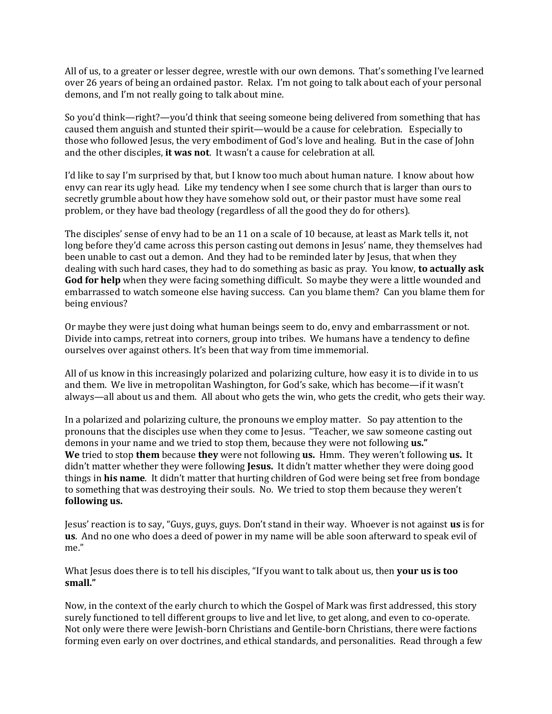All of us, to a greater or lesser degree, wrestle with our own demons. That's something I've learned over 26 years of being an ordained pastor. Relax. I'm not going to talk about each of your personal demons, and I'm not really going to talk about mine.

So you'd think—right?—you'd think that seeing someone being delivered from something that has caused them anguish and stunted their spirit—would be a cause for celebration. Especially to those who followed Jesus, the very embodiment of God's love and healing. But in the case of John and the other disciples, **it was not**. It wasn't a cause for celebration at all.

I'd like to say I'm surprised by that, but I know too much about human nature. I know about how envy can rear its ugly head. Like my tendency when I see some church that is larger than ours to secretly grumble about how they have somehow sold out, or their pastor must have some real problem, or they have bad theology (regardless of all the good they do for others).

The disciples' sense of envy had to be an 11 on a scale of 10 because, at least as Mark tells it, not long before they'd came across this person casting out demons in Jesus' name, they themselves had been unable to cast out a demon. And they had to be reminded later by Jesus, that when they dealing with such hard cases, they had to do something as basic as pray. You know, **to actually ask God for help** when they were facing something difficult. So maybe they were a little wounded and embarrassed to watch someone else having success. Can you blame them? Can you blame them for being envious?

Or maybe they were just doing what human beings seem to do, envy and embarrassment or not. Divide into camps, retreat into corners, group into tribes. We humans have a tendency to define ourselves over against others. It's been that way from time immemorial.

All of us know in this increasingly polarized and polarizing culture, how easy it is to divide in to us and them. We live in metropolitan Washington, for God's sake, which has become—if it wasn't always—all about us and them. All about who gets the win, who gets the credit, who gets their way.

In a polarized and polarizing culture, the pronouns we employ matter. So pay attention to the pronouns that the disciples use when they come to Jesus. "Teacher, we saw someone casting out demons in your name and we tried to stop them, because they were not following **us." We** tried to stop **them** because **they** were not following **us.** Hmm. They weren't following **us.** It didn't matter whether they were following **Jesus.** It didn't matter whether they were doing good things in **his name**. It didn't matter that hurting children of God were being set free from bondage to something that was destroying their souls. No. We tried to stop them because they weren't **following us.** 

Jesus' reaction is to say, "Guys, guys, guys. Don't stand in their way. Whoever is not against **us** is for **us**. And no one who does a deed of power in my name will be able soon afterward to speak evil of me."

What Jesus does there is to tell his disciples, "If you want to talk about us, then **your us is too small."**

Now, in the context of the early church to which the Gospel of Mark was first addressed, this story surely functioned to tell different groups to live and let live, to get along, and even to co-operate. Not only were there were Jewish-born Christians and Gentile-born Christians, there were factions forming even early on over doctrines, and ethical standards, and personalities. Read through a few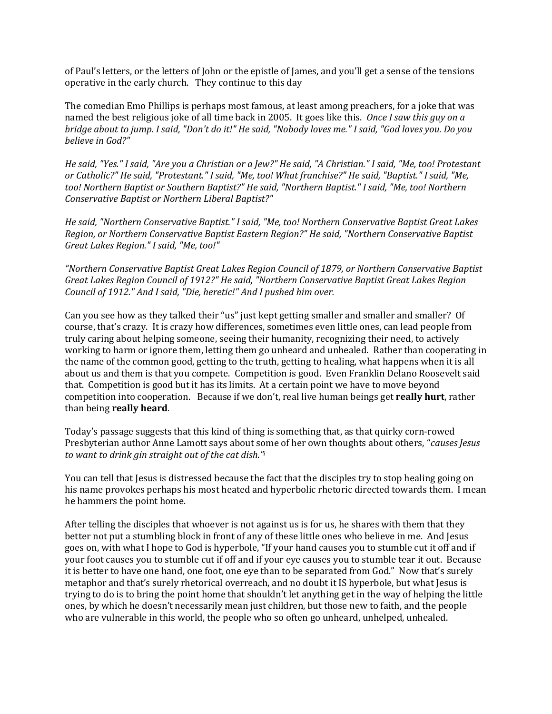of Paul's letters, or the letters of John or the epistle of James, and you'll get a sense of the tensions operative in the early church. They continue to this day

The comedian Emo Phillips is perhaps most famous, at least among preachers, for a joke that was named the best religious joke of all time back in 2005. It goes like this. *Once I saw this guy on a bridge about to jump. I said, "Don't do it!" He said, "Nobody loves me." I said, "God loves you. Do you believe in God?"* 

*He said, "Yes." I said, "Are you a Christian or a Jew?" He said, "A Christian." I said, "Me, too! Protestant or Catholic?" He said, "Protestant." I said, "Me, too! What franchise?" He said, "Baptist." I said, "Me, too! Northern Baptist or Southern Baptist?" He said, "Northern Baptist." I said, "Me, too! Northern Conservative Baptist or Northern Liberal Baptist?"* 

*He said, "Northern Conservative Baptist." I said, "Me, too! Northern Conservative Baptist Great Lakes Region, or Northern Conservative Baptist Eastern Region?" He said, "Northern Conservative Baptist Great Lakes Region." I said, "Me, too!"* 

*"Northern Conservative Baptist Great Lakes Region Council of 1879, or Northern Conservative Baptist Great Lakes Region Council of 1912?" He said, "Northern Conservative Baptist Great Lakes Region Council of 1912." And I said, "Die, heretic!" And I pushed him over.* 

Can you see how as they talked their "us" just kept getting smaller and smaller and smaller? Of course, that's crazy. It is crazy how differences, sometimes even little ones, can lead people from truly caring about helping someone, seeing their humanity, recognizing their need, to actively working to harm or ignore them, letting them go unheard and unhealed. Rather than cooperating in the name of the common good, getting to the truth, getting to healing, what happens when it is all about us and them is that you compete. Competition is good. Even Franklin Delano Roosevelt said that. Competition is good but it has its limits. At a certain point we have to move beyond competition into cooperation. Because if we don't, real live human beings get **really hurt**, rather than being **really heard**.

Today's passage suggests that this kind of thing is something that, as that quirky corn-rowed Presbyterian author Anne Lamott says about some of her own thoughts about others, "*causes Jesus to want to drink gin straight out of the cat dish." i*

You can tell that Jesus is distressed because the fact that the disciples try to stop healing going on his name provokes perhaps his most heated and hyperbolic rhetoric directed towards them. I mean he hammers the point home.

After telling the disciples that whoever is not against us is for us, he shares with them that they better not put a stumbling block in front of any of these little ones who believe in me. And Jesus goes on, with what I hope to God is hyperbole, "If your hand causes you to stumble cut it off and if your foot causes you to stumble cut if off and if your eye causes you to stumble tear it out. Because it is better to have one hand, one foot, one eye than to be separated from God." Now that's surely metaphor and that's surely rhetorical overreach, and no doubt it IS hyperbole, but what Jesus is trying to do is to bring the point home that shouldn't let anything get in the way of helping the little ones, by which he doesn't necessarily mean just children, but those new to faith, and the people who are vulnerable in this world, the people who so often go unheard, unhelped, unhealed.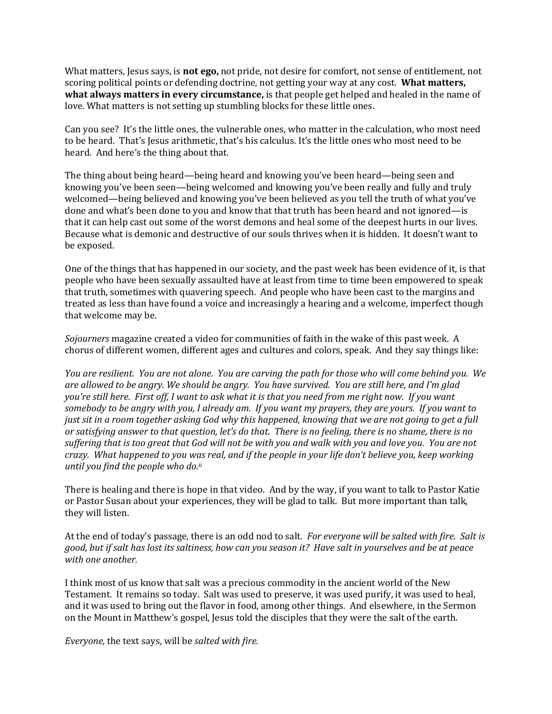What matters, Jesus says, is **not ego,** not pride, not desire for comfort, not sense of entitlement, not scoring political points or defending doctrine, not getting your way at any cost. **What matters, what always matters in every circumstance,** is that people get helped and healed in the name of love. What matters is not setting up stumbling blocks for these little ones.

Can you see? It's the little ones, the vulnerable ones, who matter in the calculation, who most need to be heard. That's Jesus arithmetic, that's his calculus. It's the little ones who most need to be heard. And here's the thing about that.

The thing about being heard—being heard and knowing you've been heard—being seen and knowing you've been seen—being welcomed and knowing you've been really and fully and truly welcomed—being believed and knowing you've been believed as you tell the truth of what you've done and what's been done to you and know that that truth has been heard and not ignored—is that it can help cast out some of the worst demons and heal some of the deepest hurts in our lives. Because what is demonic and destructive of our souls thrives when it is hidden. It doesn't want to be exposed.

One of the things that has happened in our society, and the past week has been evidence of it, is that people who have been sexually assaulted have at least from time to time been empowered to speak that truth, sometimes with quavering speech. And people who have been cast to the margins and treated as less than have found a voice and increasingly a hearing and a welcome, imperfect though that welcome may be.

*Sojourners* magazine created a video for communities of faith in the wake of this past week. A chorus of different women, different ages and cultures and colors, speak. And they say things like:

*You are resilient. You are not alone. You are carving the path for those who will come behind you. We are allowed to be angry. We should be angry. You have survived. You are still here, and I'm glad you're still here. First off, I want to ask what it is that you need from me right now. If you want somebody to be angry with you, I already am. If you want my prayers, they are yours. If you want to just sit in a room together asking God why this happened, knowing that we are not going to get a full or satisfying answer to that question, let's do that. There is no feeling, there is no shame, there is no suffering that is too great that God will not be with you and walk with you and love you. You are not crazy. What happened to you was real, and if the people in your life don't believe you, keep working until you find the people who do.ii*

There is healing and there is hope in that video. And by the way, if you want to talk to Pastor Katie or Pastor Susan about your experiences, they will be glad to talk. But more important than talk, they will listen.

At the end of today's passage, there is an odd nod to salt. *For everyone will be salted with fire. Salt is good, but if salt has lost its saltiness, how can you season it? Have salt in yourselves and be at peace with one another.* 

I think most of us know that salt was a precious commodity in the ancient world of the New Testament. It remains so today. Salt was used to preserve, it was used purify, it was used to heal, and it was used to bring out the flavor in food, among other things. And elsewhere, in the Sermon on the Mount in Matthew's gospel, Jesus told the disciples that they were the salt of the earth.

*Everyone,* the text says, will be *salted with fire.*